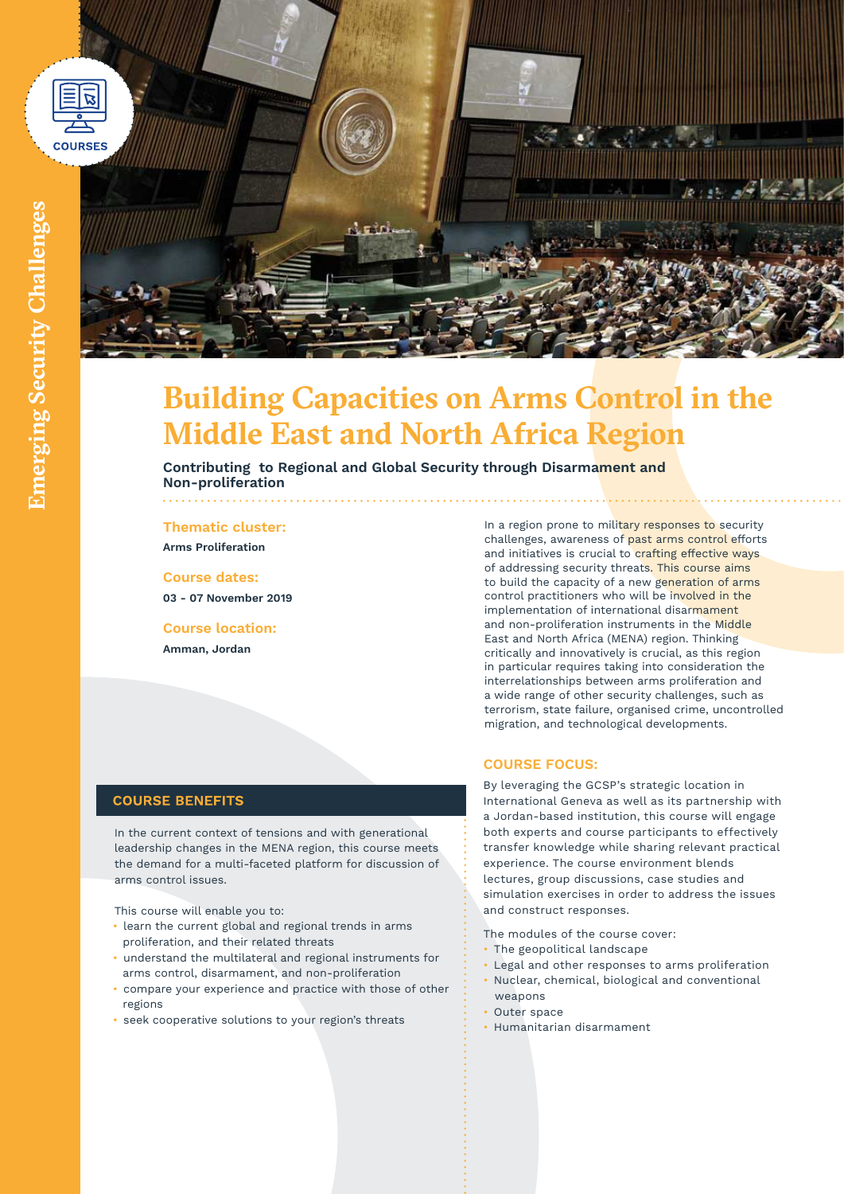



# **Building Capacities on Arms Control in the Middle East and North Africa Region**

**Contributing to Regional and Global Security through Disarmament and Non-proliferation** 

# **Thematic cluster:**

**Arms Proliferation**

**Course dates: 03 - 07 November 2019**

**Course location: Amman, Jordan**

In a region prone to military responses to security challenges, awareness of past arms control efforts and initiatives is crucial to crafting effective ways of addressing security threats. This course aims to build the capacity of a new generation of arms control practitioners who will be involved in the implementation of international disarmament and non-proliferation instruments in the Middle East and North Africa (MENA) region. Thinking critically and innovatively is crucial, as this region in particular requires taking into consideration the interrelationships between arms proliferation and a wide range of other security challenges, such as terrorism, state failure, organised crime, uncontrolled migration, and technological developments.

## **COURSE BENEFITS**

In the current context of tensions and with generational leadership changes in the MENA region, this course meets the demand for a multi-faceted platform for discussion of arms control issues.

This course will enable you to:

- learn the current global and regional trends in arms proliferation, and their related threats
- understand the multilateral and regional instruments for arms control, disarmament, and non-proliferation
- compare your experience and practice with those of other regions
- seek cooperative solutions to your region's threats

### **COURSE FOCUS:**

By leveraging the GCSP's strategic location in International Geneva as well as its partnership with a Jordan-based institution, this course will engage both experts and course participants to effectively transfer knowledge while sharing relevant practical experience. The course environment blends lectures, group discussions, case studies and simulation exercises in order to address the issues and construct responses.

The modules of the course cover:

- The geopolitical landscape
- Legal and other responses to arms proliferation
- Nuclear, chemical, biological and conventional weapons
- Outer space
- Humanitarian disarmament